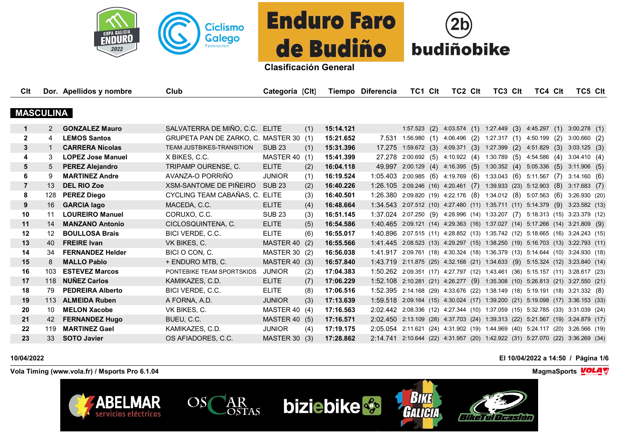



| Clt              |                   | Dor. Apellidos y nombre  | Club                                   | Categoría (Clt)      |     |           | Tiempo Diferencia                                                              | TC1 CIt                                                   | TC2 CIt | <b>TC3 CIt</b> | TC4 CIt                                | TC5 CIt                                                               |  |
|------------------|-------------------|--------------------------|----------------------------------------|----------------------|-----|-----------|--------------------------------------------------------------------------------|-----------------------------------------------------------|---------|----------------|----------------------------------------|-----------------------------------------------------------------------|--|
|                  |                   |                          |                                        |                      |     |           |                                                                                |                                                           |         |                |                                        |                                                                       |  |
| <b>MASCULINA</b> |                   |                          |                                        |                      |     |           |                                                                                |                                                           |         |                |                                        |                                                                       |  |
| $\mathbf 1$      | $2^{\circ}$       | <b>GONZALEZ Mauro</b>    | SALVATERRA DE MIÑO, C.C. ELITE         |                      | (1) | 15:14.121 |                                                                                | $1:57.523$ (2)                                            |         |                | 4:03.574 (1) 1:27.449 (3) 4:45.297 (1) | $3:00.278$ (1)                                                        |  |
| $\mathbf{2}$     | 4                 | <b>LEMOS Santos</b>      | GRUPETA PAN DE ZARKO, C. MASTER 30 (1) |                      |     | 15:21.652 |                                                                                | 7.531 1:56.980 (1) 4:06.496 (2) 1:27.317 (1) 4:50.199 (2) |         |                |                                        | $3:00.660$ (2)                                                        |  |
| 3                |                   | <b>CARRERA Nicolas</b>   | TEAM JUSTBIKES-TRANSITION              | <b>SUB 23</b>        | (1) | 15:31.396 | 17.275                                                                         | 1:59.672(3)                                               |         |                | 4:09.371 (3) 1:27.399 (2) 4:51.829 (3) | $3:03.125$ (3)                                                        |  |
| 4                | 3                 | <b>LOPEZ Jose Manuel</b> | X BIKES, C.C.                          | MASTER 40 (1)        |     | 15:41.399 | 27.278                                                                         | 2:00.692 (5) 4:10.922 (4) 1:30.789 (5) 4:54.586 (4)       |         |                |                                        | 3.04.410(4)                                                           |  |
| 5                | 5                 | <b>PEREZ Alejandro</b>   | TRIPAMP OURENSE, C.                    | <b>ELITE</b>         | (2) | 16:04.118 | 49.997                                                                         | $2:00.129$ (4) $4:16.395$ (5)                             |         | 1:30.352(4)    | $5:05.336$ (5)                         | $3:11.906$ (5)                                                        |  |
| 6                | 9                 | <b>MARTINEZ Andre</b>    | AVANZA-O PORRIÑO                       | <b>JUNIOR</b>        | (1) | 16:19.524 | 1:05.403 2:00.985 (6) 4:19.769 (6) 1:33.043 (6) 5:11.567 (7)                   |                                                           |         |                |                                        | 3:14.160(6)                                                           |  |
|                  | 13                | <b>DEL RIO Zoe</b>       | XSM-SANTOME DE PIÑEIRO                 | <b>SUB 23</b>        | (2) | 16:40.226 | 1:26.105 2:09.246 (16) 4:20.461 (7) 1:39.933 (23) 5:12.903 (8)                 |                                                           |         |                |                                        | $3:17.683$ (7)                                                        |  |
| 8                | 128               | <b>PEREZ Diego</b>       | CYCLING TEAM CABAÑAS, C. ELITE         |                      | (3) | 16:40.501 | 1:26.380 2:09.820 (19) 4:22.176 (8) 1:34.012 (8) 5:07.563 (6)                  |                                                           |         |                |                                        | 3:26.930 (20)                                                         |  |
| 9                | 16                | <b>GARCIA lago</b>       | MACEDA, C.C.                           | <b>ELITE</b>         | (4) | 16:48.664 | 1:34.543 2:07.512 (10) 4:27.480 (11) 1:35.711 (11) 5:14.379 (9)                |                                                           |         |                |                                        | 3:23.582(13)                                                          |  |
| 10               | 11                | <b>LOUREIRO Manuel</b>   | CORUXO, C.C.                           | <b>SUB 23</b>        | (3) | 16:51.145 | 1:37.024 2:07.250 (9) 4:28.996 (14) 1:33.207 (7) 5:18.313 (15) 3:23.379 (12)   |                                                           |         |                |                                        |                                                                       |  |
| 11               | 14                | <b>MANZANO Antonio</b>   | CICLOSQUINTENA, C.                     | <b>ELITE</b>         | (5) | 16:54.586 | 1:40.465 2:09.121 (14) 4:29.363 (16) 1:37.027 (14) 5:17.266 (14) 3:21.809 (9)  |                                                           |         |                |                                        |                                                                       |  |
| 12               | $12 \overline{ }$ | <b>BOULLOSA Brais</b>    | BICI VERDE, C.C.                       | <b>ELITE</b>         | (6) | 16:55.017 | 1:40.896 2:07.515 (11) 4:28.852 (13) 1:35.742 (12) 5:18.665 (16) 3:24.243 (15) |                                                           |         |                |                                        |                                                                       |  |
| 13               | 40                | <b>FREIRE Ivan</b>       | VK BIKES, C.                           | MASTER 40 (2)        |     | 16:55.566 | 1:41.445 2:08.523 (13) 4:29.297 (15) 1:38.250 (19) 5:16.703 (13) 3:22.793 (11) |                                                           |         |                |                                        |                                                                       |  |
| 14               | 34                | <b>FERNANDEZ Helder</b>  | BICI O CON, C.                         | MASTER 30 (2)        |     | 16:56.038 | 1:41.917 2:09.761 (18) 4:30.324 (18) 1:36.379 (13) 5:14.644 (10) 3:24.930 (18) |                                                           |         |                |                                        |                                                                       |  |
| 15               | 8                 | <b>MALLO Pablo</b>       | + ENDURO MTB, C.                       | MASTER 40 (3)        |     | 16:57.840 | 1:43.719 2:11.875 (25) 4:32.168 (21) 1:34.633 (9) 5:15.324 (12) 3:23.840 (14)  |                                                           |         |                |                                        |                                                                       |  |
| 16               | 103               | <b>ESTEVEZ Marcos</b>    | PONTEBIKE TEAM SPORTSKIDS              | <b>JUNIOR</b>        | (2) | 17:04.383 | 1:50.262 2:09.351 (17) 4:27.797 (12) 1:43.461 (36) 5:15.157 (11) 3:28.617 (23) |                                                           |         |                |                                        |                                                                       |  |
| 17               | 118               | <b>NUÑEZ Carlos</b>      | KAMIKAZES, C.D.                        | <b>ELITE</b>         | (7) | 17:06.229 | 1:52.108 2:10.281 (21) 4:26.277 (9) 1:35.308 (10) 5:26.813 (21) 3:27.550 (21)  |                                                           |         |                |                                        |                                                                       |  |
| 18               | 79                | <b>PEDREIRA Alberto</b>  | BICI VERDE, C.C.                       | <b>ELITE</b>         | (8) | 17:06.516 | 1:52.395 2:14.168 (29) 4:33.676 (22) 1:38.149 (18) 5:19.191 (18) 3:21.332 (8)  |                                                           |         |                |                                        |                                                                       |  |
| 19               | 113               | <b>ALMEIDA Ruben</b>     | A FORNA, A.D.                          | <b>JUNIOR</b>        | (3) | 17:13.639 | 1:59.518 2:09.164 (15) 4:30.024 (17) 1:39.200 (21) 5:19.098 (17) 3:36.153 (33) |                                                           |         |                |                                        |                                                                       |  |
| 20               | 10                | <b>MELON Xacobe</b>      | VK BIKES, C.                           | MASTER 40 (4)        |     | 17:16.563 | 2:02.442 2:08.336 (12) 4:27.344 (10) 1:37.059 (15) 5:32.785 (33) 3:31.039 (24) |                                                           |         |                |                                        |                                                                       |  |
| 21               | 42                | <b>FERNANDEZ Hugo</b>    | BUEU, C.C.                             | <b>MASTER 40 (5)</b> |     | 17:16.571 | 2:02.450 2:13.109 (28) 4:37.703 (24) 1:39.313 (22) 5:21.567 (19) 3:24.879 (17) |                                                           |         |                |                                        |                                                                       |  |
| 22               | 119               | <b>MARTINEZ Gael</b>     | KAMIKAZES, C.D.                        | <b>JUNIOR</b>        | (4) | 17:19.175 | 2:05.054                                                                       |                                                           |         |                |                                        | 2:11.621 (24) 4:31.902 (19) 1:44.969 (40) 5:24.117 (20) 3:26.566 (19) |  |
| 23               | 33                | <b>SOTO Javier</b>       | OS AFIADORES, C.C.                     | MASTER 30            | (3) | 17:28.862 | 2:14.741 2:10.644 (22) 4:31.957 (20) 1:42.922 (31) 5:27.070 (22) 3:36.269 (34) |                                                           |         |                |                                        |                                                                       |  |

## **10/04/2022 El 10/04/2022 a 14:50 / Página 1/6**

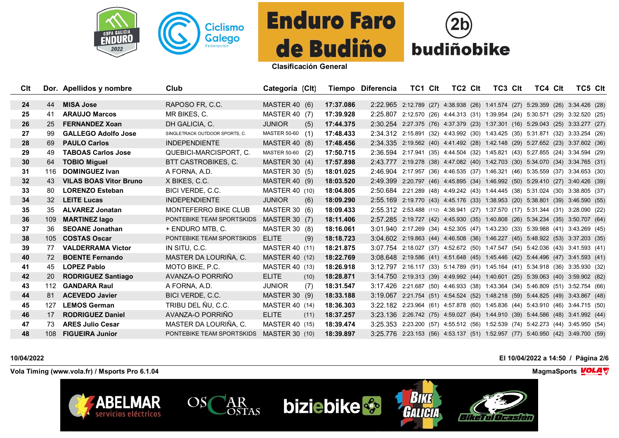



| Clt             |                 | Dor. Apellidos y nombre       | Club                           | Categoría (Clt)       |      |           | Tiempo Diferencia                                                               | TC1 CIt | TC2 CIt | TC3 CIt | TC4 Clt | TC5 Clt                                                               |  |
|-----------------|-----------------|-------------------------------|--------------------------------|-----------------------|------|-----------|---------------------------------------------------------------------------------|---------|---------|---------|---------|-----------------------------------------------------------------------|--|
| 24              | 44              | <b>MISA Jose</b>              | RAPOSO FR, C.C.                | <b>MASTER 40 (6)</b>  |      | 17:37.086 | 2:22.965 2:12.789 (27) 4:38.938 (26) 1:41.574 (27) 5:29.359 (26) 3:34.426 (28)  |         |         |         |         |                                                                       |  |
| 25              | 41              | <b>ARAUJO Marcos</b>          | MR BIKES, C.                   | <b>MASTER 40 (7)</b>  |      | 17:39.928 | 2:25.807                                                                        |         |         |         |         | 2:12.570 (26) 4:44.313 (31) 1:39.954 (24) 5:30.571 (29) 3:32.520 (25) |  |
| 26              | 25              | <b>FERNANDEZ Xoan</b>         | DH GALICIA, C.                 | <b>JUNIOR</b>         | (5)  | 17:44.375 | 2:30.254                                                                        |         |         |         |         | 2:27.375 (76) 4:37.379 (23) 1:37.301 (16) 5:29.043 (25) 3:33.277 (27) |  |
| 27              | 99              | <b>GALLEGO Adolfo Jose</b>    | SINGLETRACK OUTDOOR SPORTS, C. | MASTER 50-60 (1)      |      | 17:48.433 | 2:34.312                                                                        |         |         |         |         | 2:15.891 (32) 4:43.992 (30) 1:43.425 (35) 5:31.871 (32) 3:33.254 (26) |  |
| 28              | 69              | <b>PAULO Carlos</b>           | <b>INDEPENDIENTE</b>           | <b>MASTER 40 (8)</b>  |      | 17:48.456 | 2:34.335 2:19.562 (40) 4:41.492 (28) 1:42.148 (29) 5:27.652 (23) 3:37.602 (36)  |         |         |         |         |                                                                       |  |
| 29              | 49              | <b>TABOAS Carlos Jose</b>     | QUEBICI-MARCISPORT, C.         | MASTER 50-60 (2)      |      | 17:50.715 | 2:36.594 2:17.941 (35) 4:44.504 (32) 1:45.821 (43) 5:27.855 (24) 3:34.594 (29)  |         |         |         |         |                                                                       |  |
| 30              | 64              | <b>TOBIO Miquel</b>           | <b>BTT CASTROBIKES, C.</b>     | <b>MASTER 30 (4)</b>  |      | 17:57.898 | 2:43.777                                                                        |         |         |         |         | 2:19.278 (38) 4:47.082 (40) 1:42.703 (30) 5:34.070 (34) 3:34.765 (31) |  |
| 31              | 116             | <b>DOMINGUEZ Ivan</b>         | A FORNA, A.D.                  | <b>MASTER 30 (5)</b>  |      | 18:01.025 | 2:46.904                                                                        |         |         |         |         | 2:17.957 (36) 4:46.535 (37) 1:46.321 (46) 5:35.559 (37) 3:34.653 (30) |  |
| 32 <sub>2</sub> | 43              | <b>VILAS BOAS Vitor Bruno</b> | X BIKES, C.C.                  | <b>MASTER 40 (9)</b>  |      | 18:03.520 | 2:49.399                                                                        |         |         |         |         | 2:20.797 (46) 4:45.895 (34) 1:46.992 (50) 5:29.410 (27) 3:40.426 (39) |  |
| 33              | 80              | <b>LORENZO Esteban</b>        | BICI VERDE, C.C.               | MASTER 40 (10)        |      | 18:04.805 | 2:50.684 2:21.289 (48) 4:49.242 (43) 1:44.445 (38) 5:31.024 (30) 3:38.805 (37)  |         |         |         |         |                                                                       |  |
| 34              | 32 <sup>2</sup> | <b>LEITE Lucas</b>            | <b>INDEPENDIENTE</b>           | <b>JUNIOR</b>         | (6)  | 18:09.290 | 2:55.169 2:19.770 (43) 4:45.176 (33) 1:38.953 (20) 5:38.801 (39) 3:46.590 (55)  |         |         |         |         |                                                                       |  |
| 35              | 35              | <b>ALVAREZ Jonatan</b>        | <b>MONTEFERRO BIKE CLUB</b>    | <b>MASTER 30 (6)</b>  |      | 18:09.433 | 2:55.312 2:53.488 (112) 4:38.941 (27) 1:37.570 (17) 5:31.344 (31) 3:28.090 (22) |         |         |         |         |                                                                       |  |
| 36              | 109             | <b>MARTINEZ lago</b>          | PONTEBIKE TEAM SPORTSKIDS      | MASTER 30 (7)         |      | 18:11.406 | 2:57.285 2:19.727 (42) 4:45.930 (35) 1:40.808 (26) 5:34.234 (35) 3:50.707 (64)  |         |         |         |         |                                                                       |  |
| 37              | 36              | <b>SEOANE Jonathan</b>        | + ENDURO MTB, C.               | MASTER 30 (8)         |      | 18:16.061 | 3:01.940 2:17.269 (34) 4:52.305 (47) 1:43.230 (33) 5:39.988 (41) 3:43.269 (45)  |         |         |         |         |                                                                       |  |
| 38              | 105             | <b>COSTAS Oscar</b>           | PONTEBIKE TEAM SPORTSKIDS      | <b>ELITE</b>          | (9)  | 18:18.723 | 3:04.602 2:19.863 (44) 4:46.508 (36) 1:46.227 (45) 5:48.922 (53) 3:37.203 (35)  |         |         |         |         |                                                                       |  |
| 39              | 77              | <b>VALDERRAMA Victor</b>      | IN SITU. C.C.                  | MASTER 40 (11)        |      | 18:21.875 | 3:07.754 2:18.027 (37) 4:52.672 (50) 1:47.547 (54) 5:42.036 (43) 3:41.593 (41)  |         |         |         |         |                                                                       |  |
| 40              | 72              | <b>BOENTE Fernando</b>        | MASTER DA LOURIÑA. C.          | <b>MASTER 40 (12)</b> |      | 18:22.769 | 3:08.648 2:19.586 (41) 4:51.648 (45) 1:45.446 (42) 5:44.496 (47) 3:41.593 (41)  |         |         |         |         |                                                                       |  |
| 41              | 45              | <b>LOPEZ Pablo</b>            | MOTO BIKE, P.C.                | <b>MASTER 40 (13)</b> |      | 18:26.918 | 3:12.797                                                                        |         |         |         |         | 2:16.117 (33) 5:14.789 (91) 1:45.164 (41) 5:34.918 (36) 3:35.930 (32) |  |
| 42              | <b>20</b>       | <b>RODRIGUEZ Santiago</b>     | AVANZA-O PORRIÑO               | <b>ELITE</b>          | (10) | 18:28.871 | 3:14.750                                                                        |         |         |         |         | 2:19.313 (39) 4:49.992 (44) 1:40.601 (25) 5:39.063 (40) 3:59.902 (82) |  |
| 43              | 112             | <b>GANDARA Raul</b>           | A FORNA, A.D.                  | <b>JUNIOR</b>         | (7)  | 18:31.547 | 3:17.426 2:21.687 (50) 4:46.933 (38) 1:43.364 (34) 5:46.809 (51) 3:52.754 (66)  |         |         |         |         |                                                                       |  |
| 44              | 81              | <b>ACEVEDO Javier</b>         | BICI VERDE, C.C.               | <b>MASTER 30 (9)</b>  |      | 18:33.188 | 3:19.067                                                                        |         |         |         |         | 2:21.754 (51) 4:54.524 (52) 1:48.218 (59) 5:44.825 (49) 3:43.867 (48) |  |
| 45              | 127             | <b>LEMOS German</b>           | TRIBU DEL ÑU, C.C.             | MASTER 40 (14)        |      | 18:36.303 | 3:22.182                                                                        |         |         |         |         | 2:23.964 (61) 4:57.878 (60) 1:45.836 (44) 5:43.910 (46) 3:44.715 (50) |  |
| 46              | 17              | <b>RODRIGUEZ Daniel</b>       | AVANZA-O PORRIÑO               | <b>ELITE</b>          | (11) | 18:37.257 | 3:23.136                                                                        |         |         |         |         | 2:26.742 (75) 4:59.027 (64) 1:44.910 (39) 5:44.586 (48) 3:41.992 (44) |  |
| 47              | 73              | <b>ARES Julio Cesar</b>       | MASTER DA LOURIÑA, C.          | <b>MASTER 40 (15)</b> |      | 18:39.474 | 3:25.353                                                                        |         |         |         |         | 2:23.200 (57) 4:55.512 (56) 1:52.539 (74) 5:42.273 (44) 3:45.950 (54) |  |
| 48              | 108             | <b>FIGUEIRA Junior</b>        | PONTEBIKE TEAM SPORTSKIDS      | <b>MASTER 30 (10)</b> |      | 18:39.897 | 3:25.776 2:23.153 (56) 4:53.137 (51) 1:52.957 (77) 5:40.950 (42) 3:49.700 (59)  |         |         |         |         |                                                                       |  |

## **10/04/2022 El 10/04/2022 a 14:50 / Página 2/6**

**Vola Timing (www.vola.fr) / Msports Pro 6.1.04 MagmaSports MagmaSports MagmaSports MagmaSports MagmaSports MagmaSports MagmaSports MagmaSports MagmaSports MagmaSports MagmaSports MagmaSports Magm** 

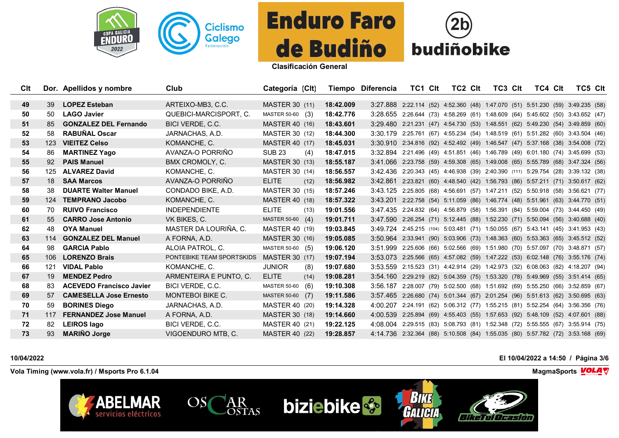



| Clt |     | Dor. Apellidos y nombre         | Club                      | Categoría (Clt)       |      |           | Tiempo Diferencia                                                              | TC1 CIt                                                                | <b>TC2 CIt</b> | TC3 CIt | TC4 Clt                                                                | TC5 CIt |  |
|-----|-----|---------------------------------|---------------------------|-----------------------|------|-----------|--------------------------------------------------------------------------------|------------------------------------------------------------------------|----------------|---------|------------------------------------------------------------------------|---------|--|
|     |     |                                 |                           |                       |      |           |                                                                                |                                                                        |                |         |                                                                        |         |  |
| 49  | 39  | <b>LOPEZ Esteban</b>            | ARTEIXO-MB3, C.C.         | <b>MASTER 30 (11)</b> |      | 18:42.009 | 3:27.888 2:22.114 (52) 4:52.360 (48) 1:47.070 (51) 5:51.230 (59) 3:49.235 (58) |                                                                        |                |         |                                                                        |         |  |
| 50  | 50  | <b>LAGO Javier</b>              | QUEBICI-MARCISPORT, C.    | MASTER 50-60 (3)      |      | 18:42.776 | 3:28.655 2:26.644 (73) 4:58.269 (61) 1:48.609 (64) 5:45.602 (50) 3:43.652 (47) |                                                                        |                |         |                                                                        |         |  |
| 51  | 85  | <b>GONZALEZ DEL Fernando</b>    | BICI VERDE, C.C.          | <b>MASTER 40 (16)</b> |      | 18:43.601 | 3:29.480                                                                       | 2:21.231 (47) 4:54.730 (53) 1:48.551 (62) 5:49.230 (54) 3:49.859 (60)  |                |         |                                                                        |         |  |
| 52  | 58  | <b>RABUÑAL Oscar</b>            | JARNACHAS, A.D.           | <b>MASTER 30 (12)</b> |      | 18:44.300 | 3:30.179 2:25.761 (67) 4:55.234 (54) 1:48.519 (61) 5:51.282 (60) 3:43.504 (46) |                                                                        |                |         |                                                                        |         |  |
| 53  | 123 | <b>VIEITEZ Celso</b>            | KOMANCHE, C.              | <b>MASTER 40 (17)</b> |      | 18:45.031 | 3:30.910 2:34.816 (92) 4:52.492 (49) 1:46.547 (47) 5:37.168 (38) 3:54.008 (72) |                                                                        |                |         |                                                                        |         |  |
| 54  | 86  | <b>MARTINEZ Yago</b>            | AVANZA-O PORRIÑO          | <b>SUB 23</b>         | (4)  | 18:47.015 | 3:32.894 2:21.496 (49) 4:51.851 (46) 1:46.789 (49) 6:01.180 (74) 3:45.699 (53) |                                                                        |                |         |                                                                        |         |  |
| 55  | 92  | <b>PAIS Manuel</b>              | BMX CROMOLY, C.           | <b>MASTER 30 (13)</b> |      | 18:55.187 | 3:41.066                                                                       | 2:23.758 (59) 4:59.308 (65) 1:49.008 (65) 5:55.789 (68) 3:47.324 (56)  |                |         |                                                                        |         |  |
| 56  | 125 | <b>ALVAREZ David</b>            | KOMANCHE, C.              | MASTER 30 (14)        |      | 18:56.557 | 3:42.436                                                                       |                                                                        |                |         | 2:20.343 (45) 4:46.938 (39) 2:40.390 (111) 5:29.754 (28) 3:39.132 (38) |         |  |
| 57  | 18  | <b>SAA Marcos</b>               | AVANZA-O PORRIÑO          | <b>ELITE</b>          | (12) | 18:56.982 | 3:42.861                                                                       |                                                                        |                |         | 2:23.821 (60) 4:48.540 (42) 1:56.793 (86) 5:57.211 (71) 3:50.617 (62)  |         |  |
| 58  | 38  | <b>DUARTE Walter Manuel</b>     | CONDADO BIKE, A.D.        | <b>MASTER 30 (15)</b> |      | 18:57.246 | 3:43.125 2:25.805 (68) 4:56.691 (57) 1:47.211 (52) 5:50.918 (58) 3:56.621 (77) |                                                                        |                |         |                                                                        |         |  |
| 59  | 124 | <b>TEMPRANO Jacobo</b>          | KOMANCHE, C.              | <b>MASTER 40 (18)</b> |      | 18:57.322 | 3:43.201                                                                       |                                                                        |                |         | 2:22.758 (54) 5:11.059 (86) 1:46.774 (48) 5:51.961 (63) 3:44.770 (51)  |         |  |
| 60  | 70. | <b>RUIVO Francisco</b>          | <b>INDEPENDIENTE</b>      | <b>ELITE</b>          | (13) | 19:01.556 | 3:47.435                                                                       |                                                                        |                |         | 2:24.832 (64) 4:56.879 (58) 1:56.391 (84) 5:59.004 (73) 3:44.450 (49)  |         |  |
| 61  | 55  | <b>CARRO Jose Antonio</b>       | VK BIKES, C.              | MASTER 50-60 (4)      |      | 19:01.711 | 3:47.590                                                                       |                                                                        |                |         | 2:26.254 (71) 5:12.445 (88) 1:52.230 (71) 5:50.094 (56) 3:40.688 (40)  |         |  |
| 62  | 48  | <b>OYA Manuel</b>               | MASTER DA LOURIÑA. C.     | <b>MASTER 40 (19)</b> |      | 19:03.845 | 3:49.724                                                                       | 2:45.215 (104) 5:03.481 (71) 1:50.055 (67) 5:43.141 (45) 3:41.953 (43) |                |         |                                                                        |         |  |
| 63  | 114 | <b>GONZALEZ DEL Manuel</b>      | A FORNA, A.D.             | <b>MASTER 30 (16)</b> |      | 19:05.085 | 3:50.964 2:33.941 (90) 5:03.906 (73) 1:48.363 (60) 5:53.363 (65) 3:45.512 (52) |                                                                        |                |         |                                                                        |         |  |
| 64  | 98  | <b>GARCIA Pablo</b>             | ALOIA PATROL. C.          | MASTER 50-60 (5)      |      | 19:06.120 | 3:51.999 2:25.606 (66) 5:02.566 (69) 1:51.980 (70) 5:57.097 (70) 3:48.871 (57) |                                                                        |                |         |                                                                        |         |  |
| 65  | 106 | <b>LORENZO Brais</b>            | PONTEBIKE TEAM SPORTSKIDS | <b>MASTER 30 (17)</b> |      | 19:07.194 | 3:53.073                                                                       |                                                                        |                |         | 2:25.566 (65) 4:57.082 (59) 1:47.222 (53) 6:02.148 (76) 3:55.176 (74)  |         |  |
| 66  | 121 | <b>VIDAL Pablo</b>              | KOMANCHE, C.              | <b>JUNIOR</b>         | (8)  | 19:07.680 | 3:53.559                                                                       |                                                                        |                |         | 2:15.523 (31) 4:42.914 (29) 1:42.973 (32) 6:08.063 (82) 4:18.207 (94)  |         |  |
| 67  | 19  | <b>MENDEZ Pedro</b>             | ARMENTEIRA E PUNTO, C.    | <b>ELITE</b>          | (14) | 19:08.281 | 3:54.160                                                                       |                                                                        |                |         | 2:29.219 (82) 5:04.359 (75) 1:53.320 (78) 5:49.969 (55) 3:51.414 (65)  |         |  |
| 68  | 83  | <b>ACEVEDO Francisco Javier</b> | BICI VERDE, C.C.          | MASTER 50-60 (6)      |      | 19:10.308 | 3:56.187 2:28.007 (79) 5:02.500 (68) 1:51.692 (69) 5:55.250 (66) 3:52.859 (67) |                                                                        |                |         |                                                                        |         |  |
| 69  | 57  | <b>CAMESELLA Jose Ernesto</b>   | MONTEBOI BIKE C.          | MASTER 50-60 (7)      |      | 19:11.586 | 3:57.465 2:26.680 (74) 5:01.344 (67) 2:01.254 (96) 5:51.613 (62) 3:50.695 (63) |                                                                        |                |         |                                                                        |         |  |
| 70  | 59  | <b>BORINES Diego</b>            | JARNACHAS, A.D.           | MASTER 40 (20)        |      | 19:14.328 | 4:00.207                                                                       |                                                                        |                |         | 2:24.191 (62) 5:06.312 (77) 1:55.215 (81) 5:52.254 (64) 3:56.356 (76)  |         |  |
| 71  | 117 | <b>FERNANDEZ Jose Manuel</b>    | A FORNA, A.D.             | <b>MASTER 30 (18)</b> |      | 19:14.660 | 4:00.539                                                                       |                                                                        |                |         | 2:25.894 (69) 4:55.403 (55) 1:57.653 (92) 5:48.109 (52) 4:07.601 (88)  |         |  |
| 72  | 82  | <b>LEIROS lago</b>              | BICI VERDE, C.C.          | MASTER 40 (21)        |      | 19:22.125 | 4:08.004                                                                       |                                                                        |                |         | 2:29.515 (83) 5:08.793 (81) 1:52.348 (72) 5:55.555 (67) 3:55.914 (75)  |         |  |
| 73  | 93  | <b>MARIÑO Jorge</b>             | VIGOENDURO MTB, C.        | <b>MASTER 40 (22)</b> |      | 19:28.857 | 4:14.736 2:32.364 (88) 5:10.508 (84) 1:55.035 (80) 5:57.782 (72) 3:53.168 (69) |                                                                        |                |         |                                                                        |         |  |

## **10/04/2022 El 10/04/2022 a 14:50 / Página 3/6**

**Vola Timing (www.vola.fr) / Msports Pro 6.1.04 MagmaSports MagmaSports MagmaSports MagmaSports MagmaSports MagmaSports MagmaSports MagmaSports MagmaSports MagmaSports MagmaSports MagmaSports Magm** 

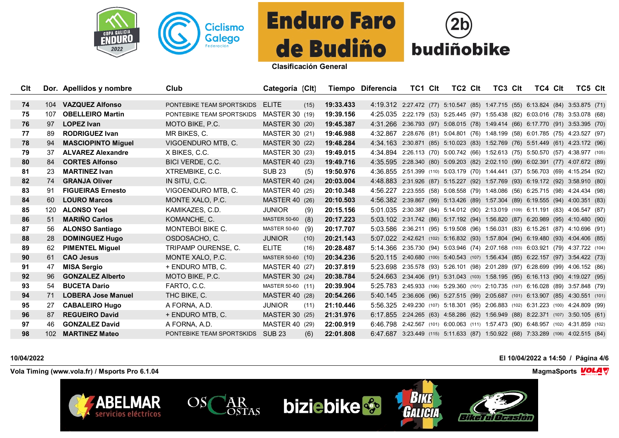



| Clt |                  | Dor. Apellidos y nombre   | Club                      | Categoría (Clt)       |      |           | Tiempo Diferencia                                                                 | TC1 CIt                                                                   | TC2 CIt | TC3 CIt | TC4 CIt | TC5 CIt |  |
|-----|------------------|---------------------------|---------------------------|-----------------------|------|-----------|-----------------------------------------------------------------------------------|---------------------------------------------------------------------------|---------|---------|---------|---------|--|
|     |                  |                           |                           |                       |      |           |                                                                                   |                                                                           |         |         |         |         |  |
| 74  |                  | 104 VAZQUEZ Alfonso       | PONTEBIKE TEAM SPORTSKIDS | <b>ELITE</b>          | (15) | 19:33.433 | 4:19.312 2:27.472 (77) 5:10.547 (85) 1:47.715 (55) 6:13.824 (84) 3:53.875 (71)    |                                                                           |         |         |         |         |  |
| 75  | 107              | <b>OBELLEIRO Martin</b>   | PONTEBIKE TEAM SPORTSKIDS | <b>MASTER 30 (19)</b> |      | 19:39.156 | 4:25.035 2:22.179 (53) 5:25.445 (97) 1:55.438 (82) 6:03.016 (78) 3:53.078 (68)    |                                                                           |         |         |         |         |  |
| 76  | 97               | <b>LOPEZ Ivan</b>         | MOTO BIKE, P.C.           | MASTER 30 (20)        |      | 19:45.387 | 4:31.266 2:36.793 (97) 5:08.015 (78) 1:49.414 (66) 6:17.770 (91) 3:53.395 (70)    |                                                                           |         |         |         |         |  |
| 77  | 89               | <b>RODRIGUEZ Ivan</b>     | MR BIKES, C.              | <b>MASTER 30 (21)</b> |      | 19:46.988 | 4:32.867                                                                          | 2:28.676 (81) 5:04.801 (76) 1:48.199 (58) 6:01.785 (75) 4:23.527 (97)     |         |         |         |         |  |
| 78  | 94               | <b>MASCIOPINTO Miquel</b> | VIGOENDURO MTB, C.        | <b>MASTER 30 (22)</b> |      | 19:48.284 | 4:34.163 2:30.871 (85) 5:10.023 (83) 1:52.769 (76) 5:51.449 (61) 4:23.172 (96)    |                                                                           |         |         |         |         |  |
| 79  | 37               | <b>ALVAREZ Alexandre</b>  | X BIKES, C.C.             | <b>MASTER 30 (23)</b> |      | 19:49.015 | 4:34.894 2:26.113 (70) 5:00.742 (66) 1:52.613 (75) 5:50.570 (57) 4:38.977 (105)   |                                                                           |         |         |         |         |  |
| 80  | 84               | <b>CORTES Alfonso</b>     | BICI VERDE, C.C.          | MASTER 40 (23)        |      | 19:49.716 | 4:35.595 2:28.340 (80) 5:09.203 (82) 2:02.110 (99) 6:02.391 (77) 4:07.672 (89)    |                                                                           |         |         |         |         |  |
| 81  | 23               | <b>MARTINEZ Ivan</b>      | XTREMBIKE, C.C.           | <b>SUB 23</b>         | (5)  | 19:50.976 | 4:36.855                                                                          | 2:51.399 (110) 5:03.179 (70) 1:44.441 (37) 5:56.703 (69) 4:15.254 (92)    |         |         |         |         |  |
| 82  | 74               | <b>GRANJA Oliver</b>      | IN SITU, C.C.             | MASTER 40 (24)        |      | 20:03.004 | 4:48.883 2:31.926 (87) 5:15.227 (92) 1:57.769 (93) 6:19.172 (92) 3:58.910 (80)    |                                                                           |         |         |         |         |  |
| 83  | 91               | <b>FIGUEIRAS Ernesto</b>  | VIGOENDURO MTB, C.        | MASTER 40 (25)        |      | 20:10.348 | 4:56.227 2:23.555 (58) 5:08.558 (79) 1:48.086 (56) 6:25.715 (98) 4:24.434 (98)    |                                                                           |         |         |         |         |  |
| 84  | 60               | <b>LOURO Marcos</b>       | MONTE XALO, P.C.          | MASTER 40 (26)        |      | 20:10.503 | 4:56.382 2:39.867 (99) 5:13.426 (89) 1:57.304 (89) 6:19.555 (94) 4:00.351 (83)    |                                                                           |         |         |         |         |  |
| 85  | 120              | <b>ALONSO Yoel</b>        | KAMIKAZES, C.D.           | <b>JUNIOR</b>         | (9)  | 20:15.156 | 5:01.035                                                                          | 2:30.387 (84) 5:14.012 (90) 2:13.019 (109) 6:11.191 (83) 4:06.547 (87)    |         |         |         |         |  |
| 86  | 51               | <b>MARIÑO Carlos</b>      | KOMANCHE, C.              | <b>MASTER 50-60</b>   | (8)  | 20:17.223 | 5:03.102                                                                          | 2:31.742 (86) 5:17.192 (94) 1:56.820 (87) 6:20.989 (95) 4:10.480 (90)     |         |         |         |         |  |
| 87  | 56               | <b>ALONSO Santiago</b>    | <b>MONTEBOI BIKE C.</b>   | MASTER 50-60 (9)      |      | 20:17.707 | 5:03.586 2:36.211 (95) 5:19.508 (96) 1:56.031 (83) 6:15.261 (87) 4:10.696 (91)    |                                                                           |         |         |         |         |  |
| 88  | 28               | <b>DOMINGUEZ Hugo</b>     | OSDOSACHO, C.             | <b>JUNIOR</b>         | (10) | 20:21.143 | 5:07.022 2:42.621 (102) 5:16.832 (93) 1:57.804 (94) 6:19.480 (93) 4:04.406 (85)   |                                                                           |         |         |         |         |  |
| 89  | 62               | <b>PIMENTEL Miguel</b>    | TRIPAMP OURENSE, C.       | <b>ELITE</b>          | (16) | 20:28.487 | 5:14.366 2:35.730 (94) 5:03.946 (74) 2:07.168 (103) 6:03.921 (79) 4:37.722 (104)  |                                                                           |         |         |         |         |  |
| 90  | 61               | <b>CAO Jesus</b>          | MONTE XALO, P.C.          | MASTER 50-60 (10)     |      | 20:34.236 | 5:20.115 2:40.680 (100) 5:40.543 (107) 1:56.434 (85) 6:22.157 (97) 3:54.422 (73)  |                                                                           |         |         |         |         |  |
| 91  | 47               | <b>MISA Sergio</b>        | + ENDURO MTB, C.          | MASTER 40 (27)        |      | 20:37.819 | 5:23.698                                                                          | 2:35.578 (93) 5:26.101 (98) 2:01.289 (97) 6:28.699 (99) 4:06.152 (86)     |         |         |         |         |  |
| 92  | 96               | <b>GONZALEZ Alberto</b>   | MOTO BIKE, P.C.           | MASTER 30 (24)        |      | 20:38.784 | 5:24.663                                                                          | 2:34.406 (91) 5:31.043 (103) 1:58.195 (95) 6:16.113 (90) 4:19.027 (95)    |         |         |         |         |  |
| 93  | 54               | <b>BUCETA Dario</b>       | FARTO, C.C.               | MASTER 50-60 (11)     |      | 20:39.904 | 5:25.783 2:45.933 (106) 5:29.360 (101) 2:10.735 (107) 6:16.028 (89) 3:57.848 (79) |                                                                           |         |         |         |         |  |
| 94  | 71               | <b>LOBERA Jose Manuel</b> | THC BIKE, C.              | <b>MASTER 40 (28)</b> |      | 20:54.266 | 5:40.145 2:36.606 (96) 5:27.515 (99) 2:05.687 (101) 6:13.907 (85) 4:30.551 (101)  |                                                                           |         |         |         |         |  |
| 95  | 27               | <b>CABALEIRO Hugo</b>     | A FORNA, A.D.             | <b>JUNIOR</b>         | (11) | 21:10.446 | 5:56.325                                                                          | 2:49.230 (107) 5:18.301 (95) 2:06.883 (102) 6:31.223 (100) 4:24.809 (99)  |         |         |         |         |  |
| 96  | 87               | <b>REGUEIRO David</b>     | + ENDURO MTB, C.          | MASTER 30 (25)        |      | 21:31.976 | 6:17.855                                                                          | 2:24.265 (63) 4:58.286 (62) 1:56.949 (88) 8:22.371 (107) 3:50.105 (61)    |         |         |         |         |  |
| 97  | 46               | <b>GONZALEZ David</b>     | A FORNA, A.D.             | MASTER 40 (29)        |      | 22:00.919 | 6:46.798                                                                          | 2:42.567 (101) 6:00.063 (111) 1:57.473 (90) 6:48.957 (102) 4:31.859 (102) |         |         |         |         |  |
| 98  | 102 <sub>1</sub> | <b>MARTINEZ Mateo</b>     | PONTEBIKE TEAM SPORTSKIDS | <b>SUB 23</b>         | (6)  | 22:01.808 | 6:47.687 3:23.449 (115) 5:11.633 (87) 1:50.922 (68) 7:33.289 (106) 4:02.515 (84)  |                                                                           |         |         |         |         |  |

**biziebike** 

## **10/04/2022 El 10/04/2022 a 14:50 / Página 4/6**

**Vola Timing (www.vola.fr) / Msports Pro 6.1.04 MagmaSports MagmaSports MagmaSports MagmaSports MagmaSports MagmaSports MagmaSports MagmaSports MagmaSports MagmaSports MagmaSports MagmaSports Magm** 

**ABELMAR**<br>servicios eléctricos

 $OS($ 

AR<br>OSTAS



**BikeTui Ocasión** 

**BIKE**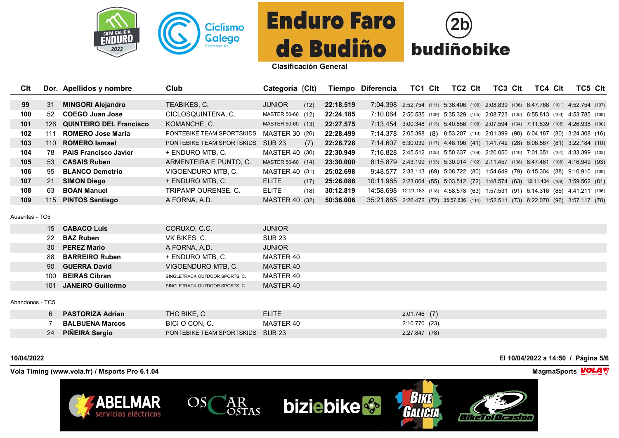



| Clt |     | Dor. Apellidos y nombre        | Club                      | Categoría (Clt)       |      |           | Tiempo Diferencia                                                                   | TC1.                                                                       | Clt | TC2 CIt | TC3 Clt | TC4 Clt | TC5 Clt |  |
|-----|-----|--------------------------------|---------------------------|-----------------------|------|-----------|-------------------------------------------------------------------------------------|----------------------------------------------------------------------------|-----|---------|---------|---------|---------|--|
|     |     |                                |                           |                       |      |           |                                                                                     |                                                                            |     |         |         |         |         |  |
| 99  | 31  | <b>MINGORI Alejandro</b>       | TEABIKES, C.              | <b>JUNIOR</b>         | (12) | 22:18.519 | 7:04.398 2:52.754 (111) 5:36.406 (106) 2:08.839 (106) 6:47.766 (101) 4:52.754 (107) |                                                                            |     |         |         |         |         |  |
| 100 | 52. | COEGO Juan Jose                | CICLOSQUINTENA, C.        | MASTER 50-60 (12)     |      | 22:24.185 | 7:10.064                                                                            | 2:50.535 (109) 5:35.329 (105) 2:08.723 (105) 6:55.813 (103) 4:53.785 (108) |     |         |         |         |         |  |
| 101 | 126 | <b>QUINTEIRO DEL Francisco</b> | KOMANCHE, C.              | MASTER 50-60 (13)     |      | 22:27.575 | 7:13.454 3:00.348 (113) 5:40.856 (108) 2:07.594 (104) 7:11.839 (105) 4:26.938 (100) |                                                                            |     |         |         |         |         |  |
| 102 | 111 | <b>ROMERO Jose Maria</b>       | PONTEBIKE TEAM SPORTSKIDS | MASTER 30 (26)        |      | 22:28.499 | 7:14.378 2:05.398 (8) 8:53.207 (113) 2:01.399 (98) 6:04.187 (80) 3:24.308 (16)      |                                                                            |     |         |         |         |         |  |
| 103 | 110 | <b>ROMERO Ismael</b>           | PONTEBIKE TEAM SPORTSKIDS | SUB 23                | (7)  | 22:28.728 | 7:14.607 6:30.039 (117) 4:48.196 (41) 1:41.742 (28) 6:06.567 (81) 3:22.184 (10)     |                                                                            |     |         |         |         |         |  |
| 104 | 78. | <b>PAIS Francisco Javier</b>   | + ENDURO MTB. C.          | MASTER 40 (30)        |      | 22:30.949 | 7:16.828 2:45.512 (105) 5:50.637 (109) 2:20.050 (110) 7:01.351 (104) 4:33.399 (103) |                                                                            |     |         |         |         |         |  |
| 105 | 53  | <b>CASAIS Ruben</b>            | ARMENTEIRA E PUNTO, C.    | MASTER 50-60 (14)     |      | 23:30.000 | 8:15.879 2:43.199 (103) 5:30.914 (102) 2:11.457 (108) 8:47.481 (108) 4:16.949 (93)  |                                                                            |     |         |         |         |         |  |
| 106 | 95  | <b>BLANCO Demetrio</b>         | VIGOENDURO MTB, C.        | MASTER 40 (31)        |      | 25:02.698 | 9:48.577                                                                            | 2:33.113 (89) 5:08.722 (80) 1:54.649 (79) 6:15.304 (88) 9:10.910 (109)     |     |         |         |         |         |  |
| 107 | 21  | <b>SIMON Diego</b>             | + ENDURO MTB. C.          | <b>ELITE</b>          | (17) | 25:26.086 | 10:11.965 2:23.004 (55) 5:03.512 (72) 1:48.574 (63) 12:11.434 (109) 3:59.562 (81)   |                                                                            |     |         |         |         |         |  |
| 108 | 63  | <b>BOAN Manuel</b>             | TRIPAMP OURENSE, C.       | <b>ELITE</b>          | (18) | 30:12.819 | 14:58.698                                                                           | 12:21.183 (118) 4:58.578 (63) 1:57.531 (91) 6:14.316 (86) 4:41.211 (106)   |     |         |         |         |         |  |
| 109 | 115 | <b>PINTOS Santiago</b>         | A FORNA, A.D.             | <b>MASTER 40 (32)</b> |      | 50:36.006 | 35:21.885 2:26.472 (72) 35:57.836 (114) 1:52.511 (73) 6:22.070 (96) 3:57.117 (78)   |                                                                            |     |         |         |         |         |  |
|     |     |                                |                           |                       |      |           |                                                                                     |                                                                            |     |         |         |         |         |  |

Ausentes - TC5

|                 |                 | 15 CABACO Luis           | CORUXO, C.C.                   | <b>JUNIOR</b> |
|-----------------|-----------------|--------------------------|--------------------------------|---------------|
|                 | 22              | <b>BAZ Ruben</b>         | VK BIKES, C.                   | <b>SUB 23</b> |
|                 | 30 <sup>2</sup> | <b>PEREZ Mario</b>       | A FORNA, A.D.                  | <b>JUNIOR</b> |
|                 | 88              | <b>BARREIRO Ruben</b>    | + ENDURO MTB, C.               | MASTER 40     |
|                 | 90              | <b>GUERRA David</b>      | VIGOENDURO MTB, C.             | MASTER 40     |
|                 | 100             | <b>BEIRAS Cibran</b>     | SINGLETRACK OUTDOOR SPORTS, C. | MASTER 40     |
|                 | 101             | <b>JANEIRO Guillermo</b> | SINGLETRACK OUTDOOR SPORTS, C. | MASTER 40     |
| Abandonos - TC5 |                 |                          |                                |               |
|                 |                 |                          |                                |               |

|    | <b>PASTORIZA Adrian</b> | THC BIKE, C.                     | ELITE     | $2:01.746$ (7) |
|----|-------------------------|----------------------------------|-----------|----------------|
|    | <b>BALBUENA Marcos</b>  | BICI O CON. C.                   | MASTER 40 | 2:10.770 (23)  |
| 24 | <b>PIÑEIRA Sergio</b>   | PONTEBIKE TEAM SPORTSKIDS SUB 23 |           | 2:27.847(78)   |

**10/04/2022 El 10/04/2022 a 14:50 / Página 5/6**